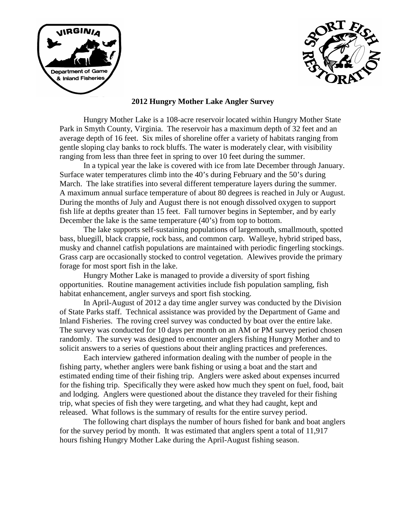



## **2012 Hungry Mother Lake Angler Survey**

Hungry Mother Lake is a 108-acre reservoir located within Hungry Mother State Park in Smyth County, Virginia. The reservoir has a maximum depth of 32 feet and an average depth of 16 feet. Six miles of shoreline offer a variety of habitats ranging from gentle sloping clay banks to rock bluffs. The water is moderately clear, with visibility ranging from less than three feet in spring to over 10 feet during the summer.

In a typical year the lake is covered with ice from late December through January. Surface water temperatures climb into the 40's during February and the 50's during March. The lake stratifies into several different temperature layers during the summer. A maximum annual surface temperature of about 80 degrees is reached in July or August. During the months of July and August there is not enough dissolved oxygen to support fish life at depths greater than 15 feet. Fall turnover begins in September, and by early December the lake is the same temperature (40's) from top to bottom.

The lake supports self-sustaining populations of largemouth, smallmouth, spotted bass, bluegill, black crappie, rock bass, and common carp. Walleye, hybrid striped bass, musky and channel catfish populations are maintained with periodic fingerling stockings. Grass carp are occasionally stocked to control vegetation. Alewives provide the primary forage for most sport fish in the lake.

Hungry Mother Lake is managed to provide a diversity of sport fishing opportunities. Routine management activities include fish population sampling, fish habitat enhancement, angler surveys and sport fish stocking.

In April-August of 2012 a day time angler survey was conducted by the Division of State Parks staff. Technical assistance was provided by the Department of Game and Inland Fisheries. The roving creel survey was conducted by boat over the entire lake. The survey was conducted for 10 days per month on an AM or PM survey period chosen randomly. The survey was designed to encounter anglers fishing Hungry Mother and to solicit answers to a series of questions about their angling practices and preferences.

Each interview gathered information dealing with the number of people in the fishing party, whether anglers were bank fishing or using a boat and the start and estimated ending time of their fishing trip. Anglers were asked about expenses incurred for the fishing trip. Specifically they were asked how much they spent on fuel, food, bait and lodging. Anglers were questioned about the distance they traveled for their fishing trip, what species of fish they were targeting, and what they had caught, kept and released. What follows is the summary of results for the entire survey period.

The following chart displays the number of hours fished for bank and boat anglers for the survey period by month. It was estimated that anglers spent a total of 11,917 hours fishing Hungry Mother Lake during the April-August fishing season.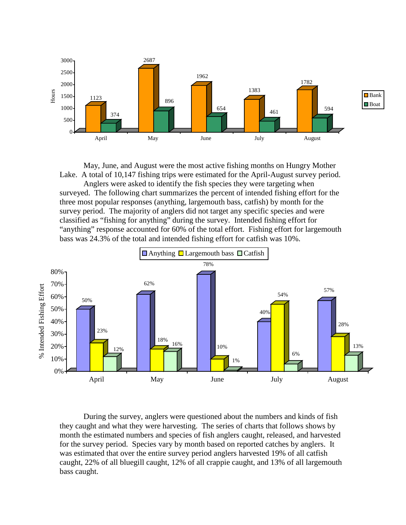

May, June, and August were the most active fishing months on Hungry Mother Lake. A total of 10,147 fishing trips were estimated for the April-August survey period.

Anglers were asked to identify the fish species they were targeting when surveyed. The following chart summarizes the percent of intended fishing effort for the three most popular responses (anything, largemouth bass, catfish) by month for the survey period. The majority of anglers did not target any specific species and were classified as "fishing for anything" during the survey. Intended fishing effort for "anything" response accounted for 60% of the total effort. Fishing effort for largemouth bass was 24.3% of the total and intended fishing effort for catfish was 10%.



During the survey, anglers were questioned about the numbers and kinds of fish they caught and what they were harvesting. The series of charts that follows shows by month the estimated numbers and species of fish anglers caught, released, and harvested for the survey period. Species vary by month based on reported catches by anglers. It was estimated that over the entire survey period anglers harvested 19% of all catfish caught, 22% of all bluegill caught, 12% of all crappie caught, and 13% of all largemouth bass caught.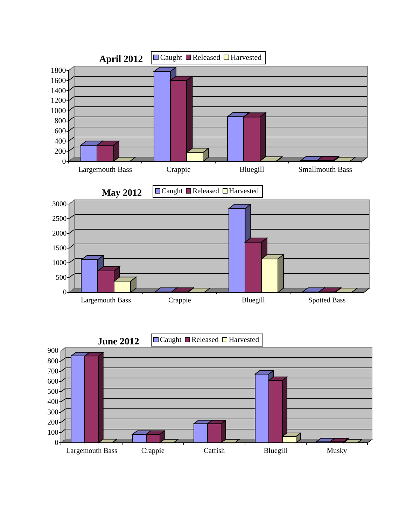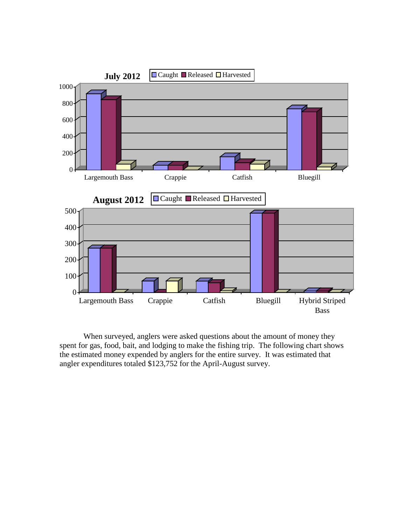

When surveyed, anglers were asked questions about the amount of money they spent for gas, food, bait, and lodging to make the fishing trip. The following chart shows the estimated money expended by anglers for the entire survey. It was estimated that angler expenditures totaled \$123,752 for the April-August survey.